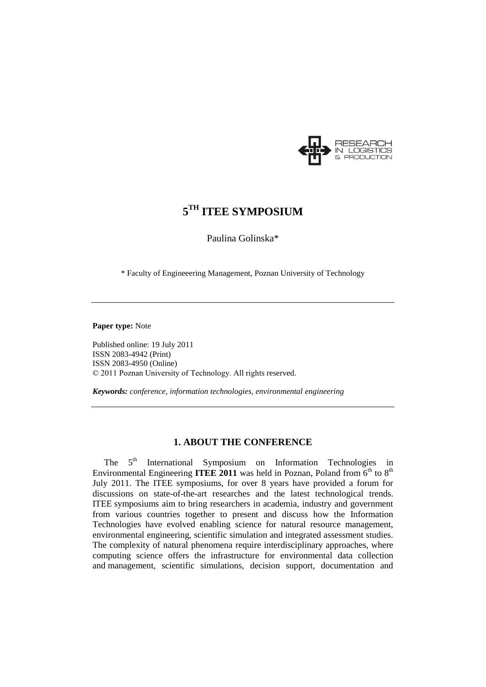

# **5 TH ITEE SYMPOSIUM**

Paulina Golinska\*

\* Faculty of Engineeering Management, Poznan University of Technology

### **Paper type:** Note

Published online: 19 July 2011 ISSN 2083-4942 (Print) ISSN 2083-4950 (Online) © 2011 Poznan University of Technology. All rights reserved.

*Keywords: conference, information technologies, environmental engineering*

## **1. ABOUT THE CONFERENCE**

The 5<sup>th</sup> International Symposium on Information Technologies in Environmental Engineering **ITEE 2011** was held in Poznan, Poland from  $6<sup>th</sup>$  to  $8<sup>th</sup>$ July 2011. The ITEE symposiums, for over 8 years have provided a forum for discussions on state-of-the-art researches and the latest technological trends. ITEE symposiums aim to bring researchers in academia, industry and government from various countries together to present and discuss how the Information Technologies have evolved enabling science for natural resource management, environmental engineering, scientific simulation and integrated assessment studies. The complexity of natural phenomena require interdisciplinary approaches, where computing science offers the infrastructure for environmental data collection and management, scientific simulations, decision support, documentation and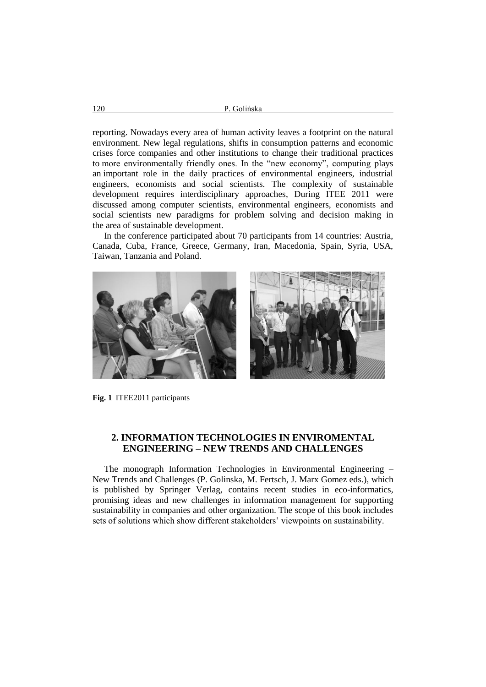reporting. Nowadays every area of human activity leaves a footprint on the natural environment. New legal regulations, shifts in consumption patterns and economic crises force companies and other institutions to change their traditional practices to more environmentally friendly ones. In the "new economy", computing plays an important role in the daily practices of environmental engineers, industrial engineers, economists and social scientists. The complexity of sustainable development requires interdisciplinary approaches, During ITEE 2011 were discussed among computer scientists, environmental engineers, economists and social scientists new paradigms for problem solving and decision making in the area of sustainable development.

In the conference participated about 70 participants from 14 countries: Austria, Canada, Cuba, France, Greece, Germany, Iran, Macedonia, Spain, Syria, USA, Taiwan, Tanzania and Poland.



**Fig. 1** ITEE2011 participants

## **2. INFORMATION TECHNOLOGIES IN ENVIROMENTAL ENGINEERING – NEW TRENDS AND CHALLENGES**

The monograph Information Technologies in Environmental Engineering – New Trends and Challenges (P. Golinska, M. Fertsch, J. Marx Gomez eds.), which is published by Springer Verlag, contains recent studies in eco-informatics, promising ideas and new challenges in information management for supporting sustainability in companies and other organization. The scope of this book includes sets of solutions which show different stakeholders' viewpoints on sustainability.